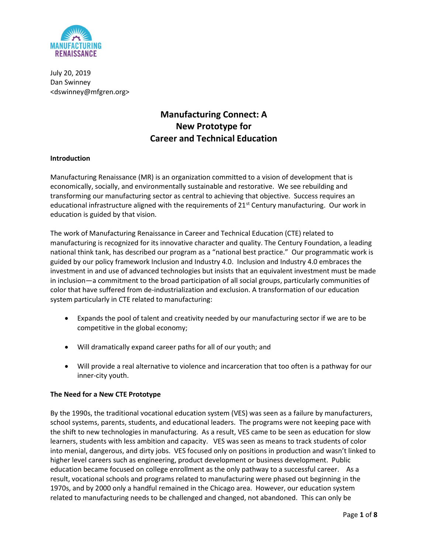

July 20, 2019 Dan Swinney <dswinney@mfgren.org>

# Manufacturing Connect: A New Prototype for Career and Technical Education

# Introduction

Manufacturing Renaissance (MR) is an organization committed to a vision of development that is economically, socially, and environmentally sustainable and restorative. We see rebuilding and transforming our manufacturing sector as central to achieving that objective. Success requires an educational infrastructure aligned with the requirements of 21<sup>st</sup> Century manufacturing. Our work in education is guided by that vision.

The work of Manufacturing Renaissance in Career and Technical Education (CTE) related to manufacturing is recognized for its innovative character and quality. The Century Foundation, a leading national think tank, has described our program as a "national best practice." Our programmatic work is guided by our policy framework Inclusion and Industry 4.0. Inclusion and Industry 4.0 embraces the investment in and use of advanced technologies but insists that an equivalent investment must be made in inclusion—a commitment to the broad participation of all social groups, particularly communities of color that have suffered from de-industrialization and exclusion. A transformation of our education system particularly in CTE related to manufacturing:

- Expands the pool of talent and creativity needed by our manufacturing sector if we are to be competitive in the global economy;
- Will dramatically expand career paths for all of our youth; and
- Will provide a real alternative to violence and incarceration that too often is a pathway for our inner-city youth.

#### The Need for a New CTE Prototype

By the 1990s, the traditional vocational education system (VES) was seen as a failure by manufacturers, school systems, parents, students, and educational leaders. The programs were not keeping pace with the shift to new technologies in manufacturing. As a result, VES came to be seen as education for slow learners, students with less ambition and capacity. VES was seen as means to track students of color into menial, dangerous, and dirty jobs. VES focused only on positions in production and wasn't linked to higher level careers such as engineering, product development or business development. Public education became focused on college enrollment as the only pathway to a successful career. As a result, vocational schools and programs related to manufacturing were phased out beginning in the 1970s, and by 2000 only a handful remained in the Chicago area. However, our education system related to manufacturing needs to be challenged and changed, not abandoned. This can only be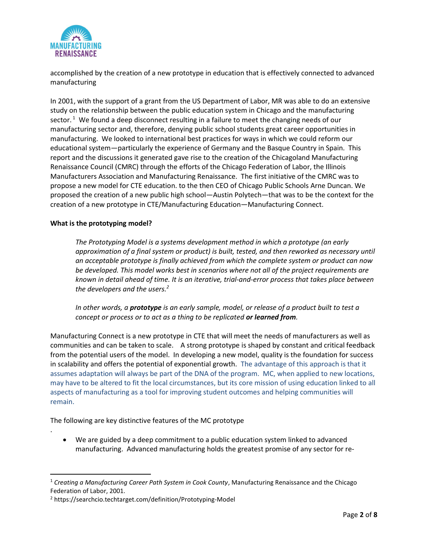

accomplished by the creation of a new prototype in education that is effectively connected to advanced manufacturing

In 2001, with the support of a grant from the US Department of Labor, MR was able to do an extensive study on the relationship between the public education system in Chicago and the manufacturing sector.<sup>1</sup> We found a deep disconnect resulting in a failure to meet the changing needs of our manufacturing sector and, therefore, denying public school students great career opportunities in manufacturing. We looked to international best practices for ways in which we could reform our educational system—particularly the experience of Germany and the Basque Country in Spain. This report and the discussions it generated gave rise to the creation of the Chicagoland Manufacturing Renaissance Council (CMRC) through the efforts of the Chicago Federation of Labor, the Illinois Manufacturers Association and Manufacturing Renaissance. The first initiative of the CMRC was to propose a new model for CTE education. to the then CEO of Chicago Public Schools Arne Duncan. We proposed the creation of a new public high school—Austin Polytech—that was to be the context for the creation of a new prototype in CTE/Manufacturing Education—Manufacturing Connect.

# What is the prototyping model?

.

The Prototyping Model is a systems development method in which a prototype (an early approximation of a final system or product) is built, tested, and then reworked as necessary until an acceptable prototype is finally achieved from which the complete system or product can now be developed. This model works best in scenarios where not all of the project requirements are known in detail ahead of time. It is an iterative, trial-and-error process that takes place between the developers and the users.<sup>2</sup>

In other words, a **prototype** is an early sample, model, or release of a product built to test a concept or process or to act as a thing to be replicated or learned from.

Manufacturing Connect is a new prototype in CTE that will meet the needs of manufacturers as well as communities and can be taken to scale. A strong prototype is shaped by constant and critical feedback from the potential users of the model. In developing a new model, quality is the foundation for success in scalability and offers the potential of exponential growth. The advantage of this approach is that it assumes adaptation will always be part of the DNA of the program. MC, when applied to new locations, may have to be altered to fit the local circumstances, but its core mission of using education linked to all aspects of manufacturing as a tool for improving student outcomes and helping communities will remain.

The following are key distinctive features of the MC prototype

 We are guided by a deep commitment to a public education system linked to advanced manufacturing. Advanced manufacturing holds the greatest promise of any sector for re-

<sup>&</sup>lt;sup>1</sup> Creating a Manufacturing Career Path System in Cook County, Manufacturing Renaissance and the Chicago Federation of Labor, 2001.

<sup>&</sup>lt;sup>2</sup> https://searchcio.techtarget.com/definition/Prototyping-Model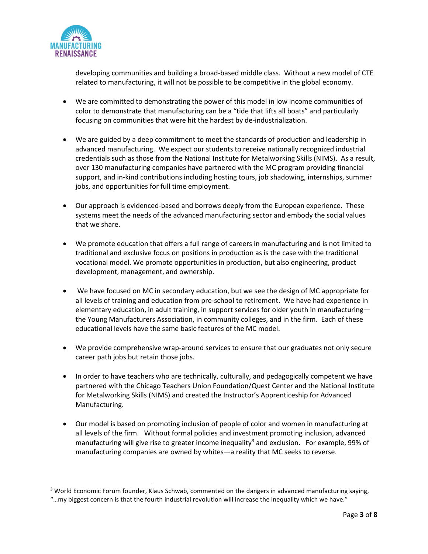

developing communities and building a broad-based middle class. Without a new model of CTE related to manufacturing, it will not be possible to be competitive in the global economy.

- We are committed to demonstrating the power of this model in low income communities of color to demonstrate that manufacturing can be a "tide that lifts all boats" and particularly focusing on communities that were hit the hardest by de-industrialization.
- We are guided by a deep commitment to meet the standards of production and leadership in advanced manufacturing. We expect our students to receive nationally recognized industrial credentials such as those from the National Institute for Metalworking Skills (NIMS). As a result, over 130 manufacturing companies have partnered with the MC program providing financial support, and in-kind contributions including hosting tours, job shadowing, internships, summer jobs, and opportunities for full time employment.
- Our approach is evidenced-based and borrows deeply from the European experience. These systems meet the needs of the advanced manufacturing sector and embody the social values that we share.
- We promote education that offers a full range of careers in manufacturing and is not limited to traditional and exclusive focus on positions in production as is the case with the traditional vocational model. We promote opportunities in production, but also engineering, product development, management, and ownership.
- We have focused on MC in secondary education, but we see the design of MC appropriate for all levels of training and education from pre-school to retirement. We have had experience in elementary education, in adult training, in support services for older youth in manufacturing the Young Manufacturers Association, in community colleges, and in the firm. Each of these educational levels have the same basic features of the MC model.
- We provide comprehensive wrap-around services to ensure that our graduates not only secure career path jobs but retain those jobs.
- In order to have teachers who are technically, culturally, and pedagogically competent we have partnered with the Chicago Teachers Union Foundation/Quest Center and the National Institute for Metalworking Skills (NIMS) and created the Instructor's Apprenticeship for Advanced Manufacturing.
- Our model is based on promoting inclusion of people of color and women in manufacturing at all levels of the firm. Without formal policies and investment promoting inclusion, advanced manufacturing will give rise to greater income inequality<sup>3</sup> and exclusion. For example, 99% of manufacturing companies are owned by whites—a reality that MC seeks to reverse.

<sup>&</sup>lt;sup>3</sup> World Economic Forum founder, Klaus Schwab, commented on the dangers in advanced manufacturing saying,

<sup>&</sup>quot;…my biggest concern is that the fourth industrial revolution will increase the inequality which we have."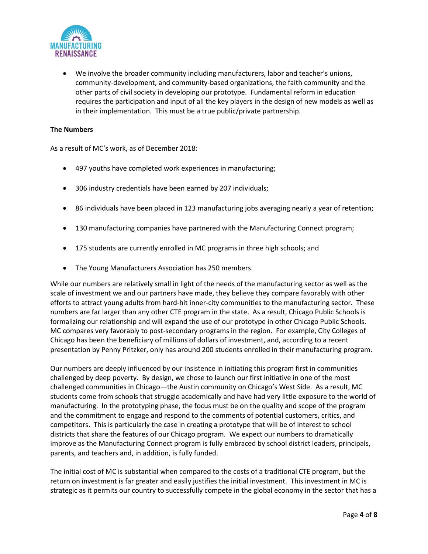

 We involve the broader community including manufacturers, labor and teacher's unions, community-development, and community-based organizations, the faith community and the other parts of civil society in developing our prototype. Fundamental reform in education requires the participation and input of all the key players in the design of new models as well as in their implementation. This must be a true public/private partnership.

### The Numbers

As a result of MC's work, as of December 2018:

- 497 youths have completed work experiences in manufacturing;
- 306 industry credentials have been earned by 207 individuals;
- 86 individuals have been placed in 123 manufacturing jobs averaging nearly a year of retention;
- 130 manufacturing companies have partnered with the Manufacturing Connect program;
- 175 students are currently enrolled in MC programs in three high schools; and
- The Young Manufacturers Association has 250 members.

While our numbers are relatively small in light of the needs of the manufacturing sector as well as the scale of investment we and our partners have made, they believe they compare favorably with other efforts to attract young adults from hard-hit inner-city communities to the manufacturing sector. These numbers are far larger than any other CTE program in the state. As a result, Chicago Public Schools is formalizing our relationship and will expand the use of our prototype in other Chicago Public Schools. MC compares very favorably to post-secondary programs in the region. For example, City Colleges of Chicago has been the beneficiary of millions of dollars of investment, and, according to a recent presentation by Penny Pritzker, only has around 200 students enrolled in their manufacturing program.

Our numbers are deeply influenced by our insistence in initiating this program first in communities challenged by deep poverty. By design, we chose to launch our first initiative in one of the most challenged communities in Chicago—the Austin community on Chicago's West Side. As a result, MC students come from schools that struggle academically and have had very little exposure to the world of manufacturing. In the prototyping phase, the focus must be on the quality and scope of the program and the commitment to engage and respond to the comments of potential customers, critics, and competitors. This is particularly the case in creating a prototype that will be of interest to school districts that share the features of our Chicago program. We expect our numbers to dramatically improve as the Manufacturing Connect program is fully embraced by school district leaders, principals, parents, and teachers and, in addition, is fully funded.

The initial cost of MC is substantial when compared to the costs of a traditional CTE program, but the return on investment is far greater and easily justifies the initial investment. This investment in MC is strategic as it permits our country to successfully compete in the global economy in the sector that has a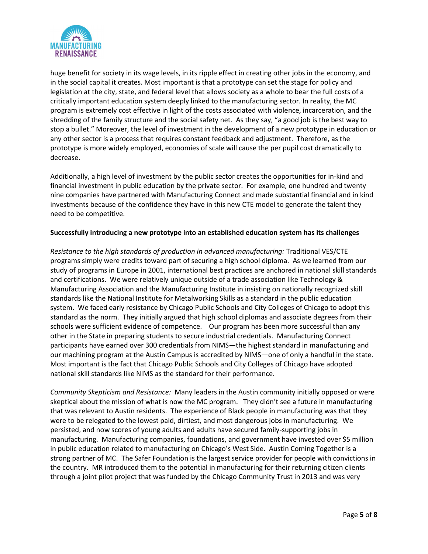

huge benefit for society in its wage levels, in its ripple effect in creating other jobs in the economy, and in the social capital it creates. Most important is that a prototype can set the stage for policy and legislation at the city, state, and federal level that allows society as a whole to bear the full costs of a critically important education system deeply linked to the manufacturing sector. In reality, the MC program is extremely cost effective in light of the costs associated with violence, incarceration, and the shredding of the family structure and the social safety net. As they say, "a good job is the best way to stop a bullet." Moreover, the level of investment in the development of a new prototype in education or any other sector is a process that requires constant feedback and adjustment. Therefore, as the prototype is more widely employed, economies of scale will cause the per pupil cost dramatically to decrease.

Additionally, a high level of investment by the public sector creates the opportunities for in-kind and financial investment in public education by the private sector. For example, one hundred and twenty nine companies have partnered with Manufacturing Connect and made substantial financial and in kind investments because of the confidence they have in this new CTE model to generate the talent they need to be competitive.

# Successfully introducing a new prototype into an established education system has its challenges

Resistance to the high standards of production in advanced manufacturing: Traditional VES/CTE programs simply were credits toward part of securing a high school diploma. As we learned from our study of programs in Europe in 2001, international best practices are anchored in national skill standards and certifications. We were relatively unique outside of a trade association like Technology & Manufacturing Association and the Manufacturing Institute in insisting on nationally recognized skill standards like the National Institute for Metalworking Skills as a standard in the public education system. We faced early resistance by Chicago Public Schools and City Colleges of Chicago to adopt this standard as the norm. They initially argued that high school diplomas and associate degrees from their schools were sufficient evidence of competence. Our program has been more successful than any other in the State in preparing students to secure industrial credentials. Manufacturing Connect participants have earned over 300 credentials from NIMS—the highest standard in manufacturing and our machining program at the Austin Campus is accredited by NIMS—one of only a handful in the state. Most important is the fact that Chicago Public Schools and City Colleges of Chicago have adopted national skill standards like NIMS as the standard for their performance.

Community Skepticism and Resistance: Many leaders in the Austin community initially opposed or were skeptical about the mission of what is now the MC program. They didn't see a future in manufacturing that was relevant to Austin residents. The experience of Black people in manufacturing was that they were to be relegated to the lowest paid, dirtiest, and most dangerous jobs in manufacturing. We persisted, and now scores of young adults and adults have secured family-supporting jobs in manufacturing. Manufacturing companies, foundations, and government have invested over \$5 million in public education related to manufacturing on Chicago's West Side. Austin Coming Together is a strong partner of MC. The Safer Foundation is the largest service provider for people with convictions in the country. MR introduced them to the potential in manufacturing for their returning citizen clients through a joint pilot project that was funded by the Chicago Community Trust in 2013 and was very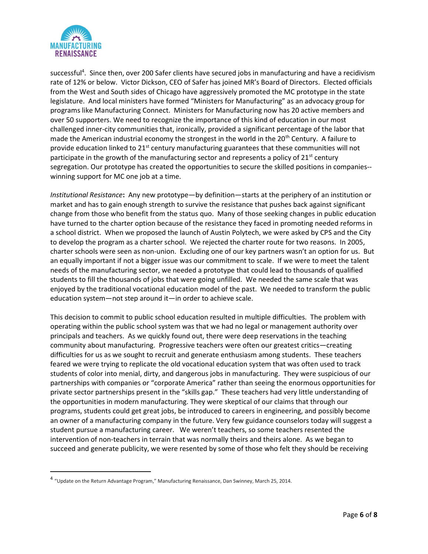

successful<sup>4</sup>. Since then, over 200 Safer clients have secured jobs in manufacturing and have a recidivism rate of 12% or below. Victor Dickson, CEO of Safer has joined MR's Board of Directors. Elected officials from the West and South sides of Chicago have aggressively promoted the MC prototype in the state legislature. And local ministers have formed "Ministers for Manufacturing" as an advocacy group for programs like Manufacturing Connect. Ministers for Manufacturing now has 20 active members and over 50 supporters. We need to recognize the importance of this kind of education in our most challenged inner-city communities that, ironically, provided a significant percentage of the labor that made the American industrial economy the strongest in the world in the 20<sup>th</sup> Century. A failure to provide education linked to 21<sup>st</sup> century manufacturing guarantees that these communities will not participate in the growth of the manufacturing sector and represents a policy of  $21^{st}$  century segregation. Our prototype has created the opportunities to secure the skilled positions in companies- winning support for MC one job at a time.

Institutional Resistance: Any new prototype—by definition—starts at the periphery of an institution or market and has to gain enough strength to survive the resistance that pushes back against significant change from those who benefit from the status quo. Many of those seeking changes in public education have turned to the charter option because of the resistance they faced in promoting needed reforms in a school district. When we proposed the launch of Austin Polytech, we were asked by CPS and the City to develop the program as a charter school. We rejected the charter route for two reasons. In 2005, charter schools were seen as non-union. Excluding one of our key partners wasn't an option for us. But an equally important if not a bigger issue was our commitment to scale. If we were to meet the talent needs of the manufacturing sector, we needed a prototype that could lead to thousands of qualified students to fill the thousands of jobs that were going unfilled. We needed the same scale that was enjoyed by the traditional vocational education model of the past. We needed to transform the public education system—not step around it—in order to achieve scale.

This decision to commit to public school education resulted in multiple difficulties. The problem with operating within the public school system was that we had no legal or management authority over principals and teachers. As we quickly found out, there were deep reservations in the teaching community about manufacturing. Progressive teachers were often our greatest critics—creating difficulties for us as we sought to recruit and generate enthusiasm among students. These teachers feared we were trying to replicate the old vocational education system that was often used to track students of color into menial, dirty, and dangerous jobs in manufacturing. They were suspicious of our partnerships with companies or "corporate America" rather than seeing the enormous opportunities for private sector partnerships present in the "skills gap." These teachers had very little understanding of the opportunities in modern manufacturing. They were skeptical of our claims that through our programs, students could get great jobs, be introduced to careers in engineering, and possibly become an owner of a manufacturing company in the future. Very few guidance counselors today will suggest a student pursue a manufacturing career. We weren't teachers, so some teachers resented the intervention of non-teachers in terrain that was normally theirs and theirs alone. As we began to succeed and generate publicity, we were resented by some of those who felt they should be receiving

<sup>&</sup>lt;sup>4</sup> "Update on the Return Advantage Program," Manufacturing Renaissance, Dan Swinney, March 25, 2014.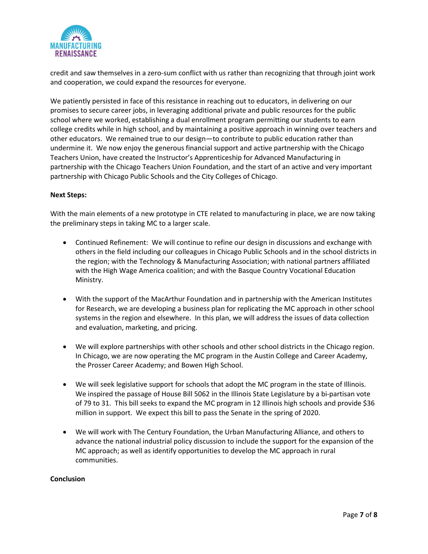

credit and saw themselves in a zero-sum conflict with us rather than recognizing that through joint work and cooperation, we could expand the resources for everyone.

We patiently persisted in face of this resistance in reaching out to educators, in delivering on our promises to secure career jobs, in leveraging additional private and public resources for the public school where we worked, establishing a dual enrollment program permitting our students to earn college credits while in high school, and by maintaining a positive approach in winning over teachers and other educators. We remained true to our design—to contribute to public education rather than undermine it. We now enjoy the generous financial support and active partnership with the Chicago Teachers Union, have created the Instructor's Apprenticeship for Advanced Manufacturing in partnership with the Chicago Teachers Union Foundation, and the start of an active and very important partnership with Chicago Public Schools and the City Colleges of Chicago.

#### Next Steps:

With the main elements of a new prototype in CTE related to manufacturing in place, we are now taking the preliminary steps in taking MC to a larger scale.

- Continued Refinement: We will continue to refine our design in discussions and exchange with others in the field including our colleagues in Chicago Public Schools and in the school districts in the region; with the Technology & Manufacturing Association; with national partners affiliated with the High Wage America coalition; and with the Basque Country Vocational Education Ministry.
- With the support of the MacArthur Foundation and in partnership with the American Institutes for Research, we are developing a business plan for replicating the MC approach in other school systems in the region and elsewhere. In this plan, we will address the issues of data collection and evaluation, marketing, and pricing.
- We will explore partnerships with other schools and other school districts in the Chicago region. In Chicago, we are now operating the MC program in the Austin College and Career Academy, the Prosser Career Academy; and Bowen High School.
- We will seek legislative support for schools that adopt the MC program in the state of Illinois. We inspired the passage of House Bill 5062 in the Illinois State Legislature by a bi-partisan vote of 79 to 31. This bill seeks to expand the MC program in 12 Illinois high schools and provide \$36 million in support. We expect this bill to pass the Senate in the spring of 2020.
- We will work with The Century Foundation, the Urban Manufacturing Alliance, and others to advance the national industrial policy discussion to include the support for the expansion of the MC approach; as well as identify opportunities to develop the MC approach in rural communities.

#### Conclusion